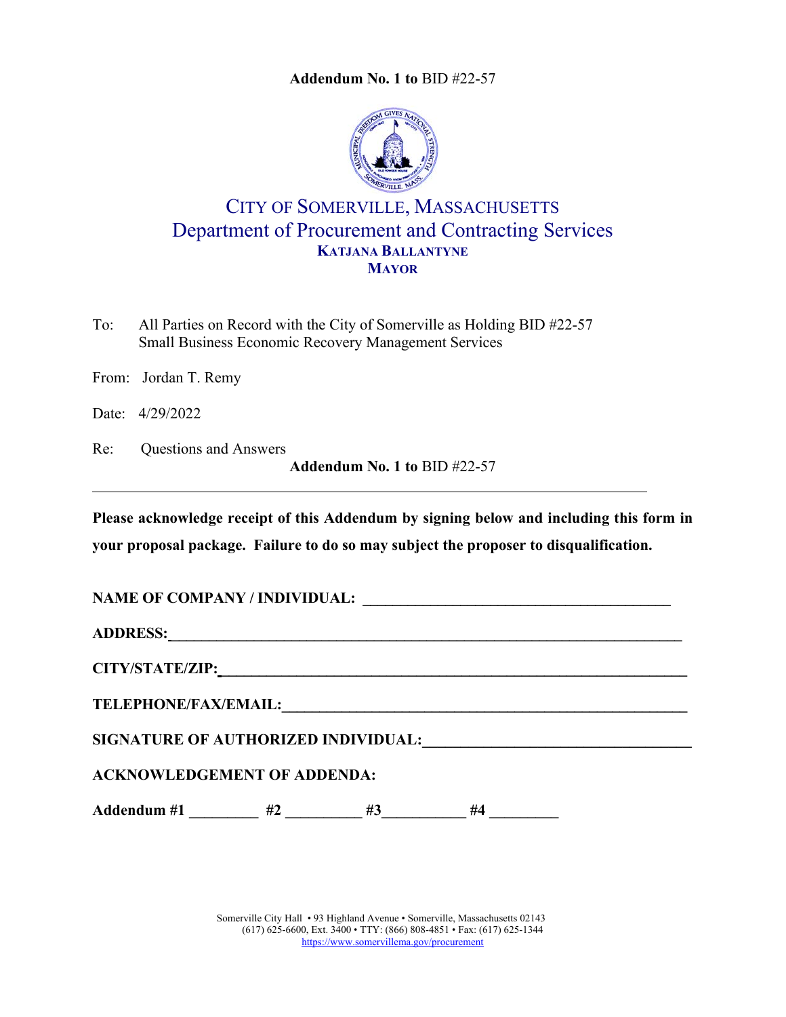**Addendum No. 1 to** BID #22-57



## CITY OF SOMERVILLE, MASSACHUSETTS Department of Procurement and Contracting Services **KATJANA BALLANTYNE MAYOR**

To: All Parties on Record with the City of Somerville as Holding BID #22-57 Small Business Economic Recovery Management Services

From: Jordan T. Remy

Date: 4/29/2022

Re: Questions and Answers

**Addendum No. 1 to** BID #22-57

**Please acknowledge receipt of this Addendum by signing below and including this form in your proposal package. Failure to do so may subject the proposer to disqualification.**

**NAME OF COMPANY / INDIVIDUAL: \_\_\_\_\_\_\_\_\_\_\_\_\_\_\_\_\_\_\_\_\_\_\_\_\_\_\_\_\_\_\_\_\_\_\_\_\_\_\_\_\_** 

**ADDRESS: \_\_\_\_\_\_\_\_\_\_\_\_\_\_\_\_\_\_\_\_\_\_\_\_\_\_\_\_\_\_\_\_\_\_\_\_\_\_\_\_\_\_\_\_\_\_\_\_\_\_\_\_\_\_\_\_\_\_\_\_\_\_\_\_\_\_\_\_** 

**CITY/STATE/ZIP: \_\_\_\_\_\_\_\_\_\_\_\_\_\_\_\_\_\_\_\_\_\_\_\_\_\_\_\_\_\_\_\_\_\_\_\_\_\_\_\_\_\_\_\_\_\_\_\_\_\_\_\_\_\_\_\_\_\_\_\_\_\_** 

**TELEPHONE/FAX/EMAIL:\_\_\_\_\_\_\_\_\_\_\_\_\_\_\_\_\_\_\_\_\_\_\_\_\_\_\_\_\_\_\_\_\_\_\_\_\_\_\_\_\_\_\_\_\_\_\_\_\_\_\_\_\_\_**

SIGNATURE OF AUTHORIZED INDIVIDUAL:

## **ACKNOWLEDGEMENT OF ADDENDA:**

Addendum #1 \_\_\_\_\_\_\_\_\_ #2 \_\_\_\_\_\_\_\_ #3 \_\_\_\_\_\_\_ #4 \_\_\_\_\_\_\_\_